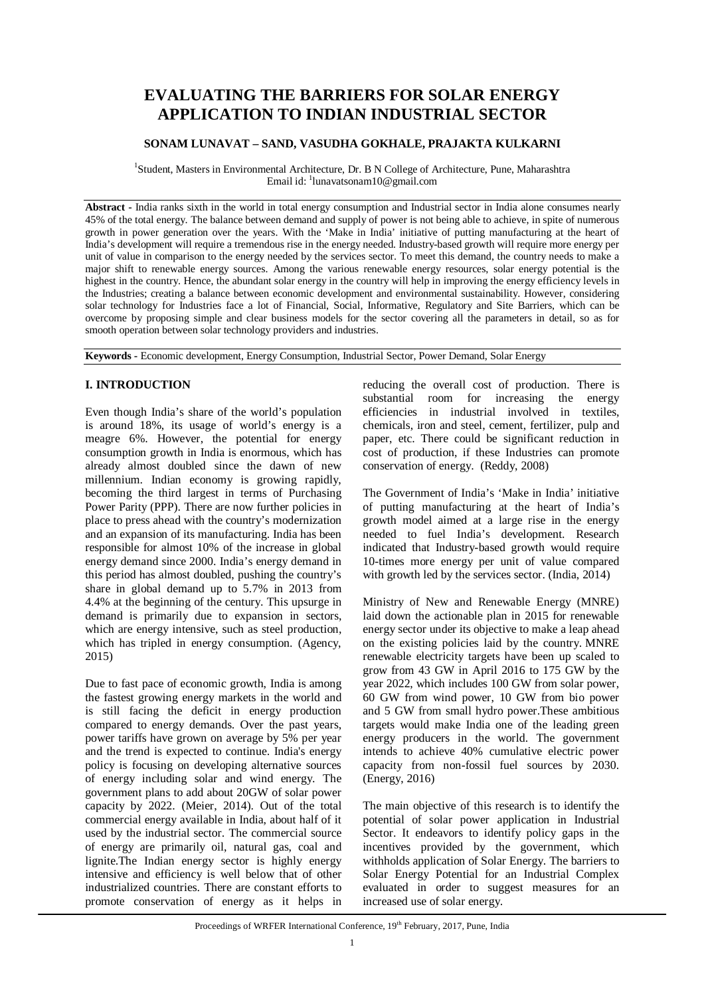# **EVALUATING THE BARRIERS FOR SOLAR ENERGY APPLICATION TO INDIAN INDUSTRIAL SECTOR**

# **SONAM LUNAVAT – SAND, VASUDHA GOKHALE, PRAJAKTA KULKARNI**

<sup>1</sup>Student, Masters in Environmental Architecture, Dr. B N College of Architecture, Pune, Maharashtra Email id: <sup>1</sup>[lunavatsonam10@gmail.com](mailto:lunavatsonam10@gmail.com)

**Abstract -** India ranks sixth in the world in total energy consumption and Industrial sector in India alone consumes nearly 45% of the total energy. The balance between demand and supply of power is not being able to achieve, in spite of numerous growth in power generation over the years. With the 'Make in India' initiative of putting manufacturing at the heart of India's development will require a tremendous rise in the energy needed. Industry-based growth will require more energy per unit of value in comparison to the energy needed by the services sector. To meet this demand, the country needs to make a major shift to renewable energy sources. Among the various renewable energy resources, solar energy potential is the highest in the country. Hence, the abundant solar energy in the country will help in improving the energy efficiency levels in the Industries; creating a balance between economic development and environmental sustainability. However, considering solar technology for Industries face a lot of Financial, Social, Informative, Regulatory and Site Barriers, which can be overcome by proposing simple and clear business models for the sector covering all the parameters in detail, so as for smooth operation between solar technology providers and industries.

**Keywords -** Economic development, Energy Consumption, Industrial Sector, Power Demand, Solar Energy

# **I. INTRODUCTION**

Even though India's share of the world's population is around 18%, its usage of world's energy is a meagre 6%. However, the potential for energy consumption growth in India is enormous, which has already almost doubled since the dawn of new millennium. Indian economy is growing rapidly, becoming the third largest in terms of Purchasing Power Parity (PPP). There are now further policies in place to press ahead with the country's modernization and an expansion of its manufacturing. India has been responsible for almost 10% of the increase in global energy demand since 2000. India's energy demand in this period has almost doubled, pushing the country's share in global demand up to 5.7% in 2013 from 4.4% at the beginning of the century. This upsurge in demand is primarily due to expansion in sectors, which are energy intensive, such as steel production, which has tripled in energy consumption. (Agency, 2015)

Due to fast pace of economic growth, India is among the fastest growing energy markets in the world and is still facing the deficit in energy production compared to energy demands. Over the past years, power tariffs have grown on average by 5% per year and the trend is expected to continue. India's energy policy is focusing on developing alternative sources of energy including solar and wind energy. The government plans to add about 20GW of solar power capacity by 2022. (Meier, 2014). Out of the total commercial energy available in India, about half of it used by the industrial sector. The commercial source of energy are primarily oil, natural gas, coal and lignite.The Indian energy sector is highly energy intensive and efficiency is well below that of other industrialized countries. There are constant efforts to promote conservation of energy as it helps in

reducing the overall cost of production. There is substantial room for increasing the energy efficiencies in industrial involved in textiles, chemicals, iron and steel, cement, fertilizer, pulp and paper, etc. There could be significant reduction in cost of production, if these Industries can promote conservation of energy. (Reddy, 2008)

The Government of India's 'Make in India' initiative of putting manufacturing at the heart of India's growth model aimed at a large rise in the energy needed to fuel India's development. Research indicated that Industry-based growth would require 10-times more energy per unit of value compared with growth led by the services sector. (India, 2014)

Ministry of New and Renewable Energy (MNRE) laid down the actionable plan in 2015 for renewable energy sector under its objective to make a leap ahead on the existing policies laid by the country. MNRE renewable electricity targets have been up scaled to grow from 43 GW in April 2016 to 175 GW by the year 2022, which includes 100 GW from solar power, 60 GW from wind power, 10 GW from bio power and 5 GW from small hydro power.These ambitious targets would make India one of the leading green energy producers in the world. The government intends to achieve 40% cumulative electric power capacity from non-fossil fuel sources by 2030. (Energy, 2016)

The main objective of this research is to identify the potential of solar power application in Industrial Sector. It endeavors to identify policy gaps in the incentives provided by the government, which withholds application of Solar Energy. The barriers to Solar Energy Potential for an Industrial Complex evaluated in order to suggest measures for an increased use of solar energy.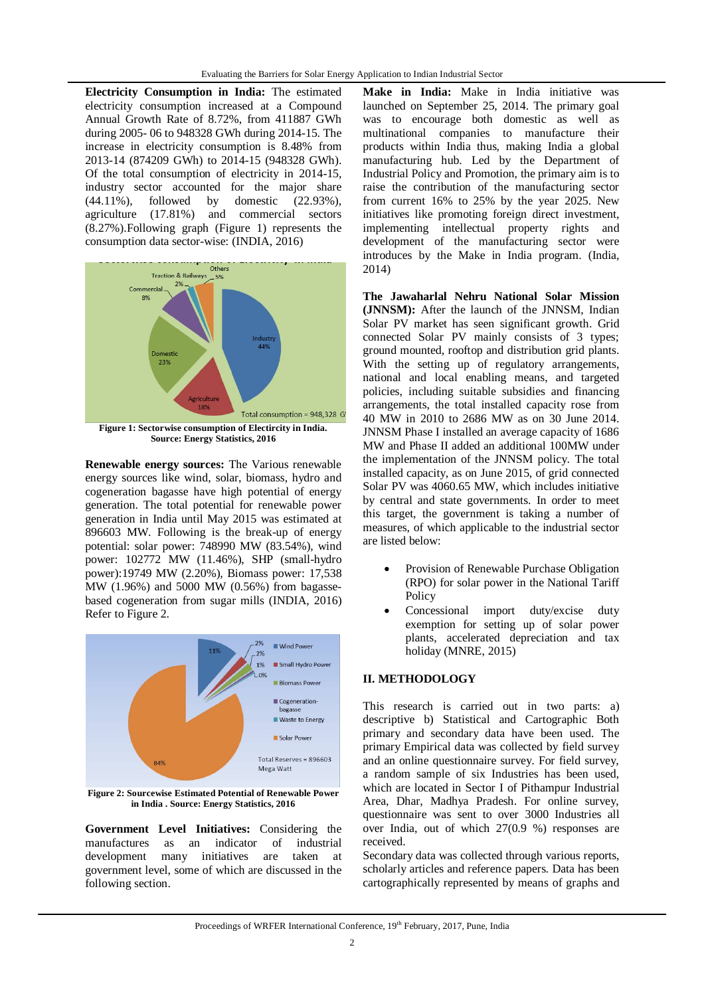**Electricity Consumption in India:** The estimated electricity consumption increased at a Compound Annual Growth Rate of 8.72%, from 411887 GWh during 2005- 06 to 948328 GWh during 2014-15. The increase in electricity consumption is 8.48% from 2013-14 (874209 GWh) to 2014-15 (948328 GWh). Of the total consumption of electricity in 2014-15, industry sector accounted for the major share (44.11%), followed by domestic (22.93%), agriculture (17.81%) and commercial sectors (8.27%).Following graph (Figure 1) represents the consumption data sector-wise: (INDIA, 2016)



**Renewable energy sources:** The Various renewable energy sources like wind, solar, biomass, hydro and cogeneration bagasse have high potential of energy generation. The total potential for renewable power generation in India until May 2015 was estimated at 896603 MW. Following is the break-up of energy potential: solar power: 748990 MW (83.54%), wind power: 102772 MW (11.46%), SHP (small-hydro power):19749 MW (2.20%), Biomass power: 17,538 MW (1.96%) and 5000 MW (0.56%) from bagassebased cogeneration from sugar mills (INDIA, 2016) Refer to Figure 2.



**Figure 2: Sourcewise Estimated Potential of Renewable Power in India . Source: Energy Statistics, 2016**

**Government Level Initiatives:** Considering the manufactures as an indicator of industrial development many initiatives are taken at government level, some of which are discussed in the following section.

**Make in India:** Make in India initiative was launched on September 25, 2014. The primary goal was to encourage both domestic as well as multinational companies to manufacture their products within India thus, making India a global manufacturing hub. Led by the Department of Industrial Policy and Promotion, the primary aim is to raise the contribution of the manufacturing sector from current 16% to 25% by the year 2025. New initiatives like promoting foreign direct investment, implementing intellectual property rights and development of the manufacturing sector were introduces by the Make in India program. (India, 2014)

**The Jawaharlal Nehru National Solar Mission (JNNSM):** After the launch of the JNNSM, Indian Solar PV market has seen significant growth. Grid connected Solar PV mainly consists of 3 types; ground mounted, rooftop and distribution grid plants. With the setting up of regulatory arrangements, national and local enabling means, and targeted policies, including suitable subsidies and financing arrangements, the total installed capacity rose from 40 MW in 2010 to 2686 MW as on 30 June 2014. JNNSM Phase I installed an average capacity of 1686 MW and Phase II added an additional 100MW under the implementation of the JNNSM policy. The total installed capacity, as on June 2015, of grid connected Solar PV was 4060.65 MW, which includes initiative by central and state governments. In order to meet this target, the government is taking a number of measures, of which applicable to the industrial sector are listed below:

- Provision of Renewable Purchase Obligation (RPO) for solar power in the National Tariff Policy
- Concessional import duty/excise duty exemption for setting up of solar power plants, accelerated depreciation and tax holiday (MNRE, 2015)

## **II. METHODOLOGY**

This research is carried out in two parts: a) descriptive b) Statistical and Cartographic Both primary and secondary data have been used. The primary Empirical data was collected by field survey and an online questionnaire survey. For field survey, a random sample of six Industries has been used, which are located in Sector I of Pithampur Industrial Area, Dhar, Madhya Pradesh. For online survey, questionnaire was sent to over 3000 Industries all over India, out of which 27(0.9 %) responses are received.

Secondary data was collected through various reports, scholarly articles and reference papers. Data has been cartographically represented by means of graphs and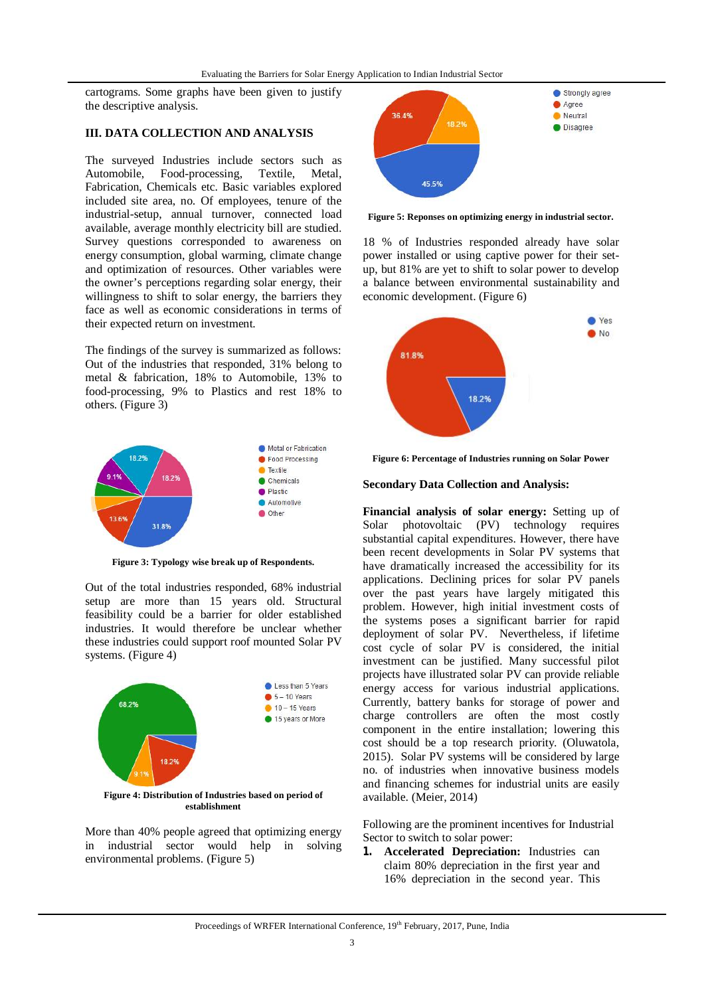cartograms. Some graphs have been given to justify the descriptive analysis.

## **III. DATA COLLECTION AND ANALYSIS**

The surveyed Industries include sectors such as Automobile, Food-processing, Textile, Metal, Food-processing, Fabrication, Chemicals etc. Basic variables explored included site area, no. Of employees, tenure of the industrial-setup, annual turnover, connected load available, average monthly electricity bill are studied. Survey questions corresponded to awareness on energy consumption, global warming, climate change and optimization of resources. Other variables were the owner's perceptions regarding solar energy, their willingness to shift to solar energy, the barriers they face as well as economic considerations in terms of their expected return on investment.

The findings of the survey is summarized as follows: Out of the industries that responded, 31% belong to metal & fabrication, 18% to Automobile, 13% to food-processing, 9% to Plastics and rest 18% to others. (Figure 3)



**Figure 3: Typology wise break up of Respondents.**

Out of the total industries responded, 68% industrial setup are more than 15 years old. Structural feasibility could be a barrier for older established industries. It would therefore be unclear whether these industries could support roof mounted Solar PV systems. (Figure 4)



**Figure 4: Distribution of Industries based on period of establishment**

More than 40% people agreed that optimizing energy in industrial sector would help in solving environmental problems. (Figure 5)



**Figure 5: Reponses on optimizing energy in industrial sector.**

18 % of Industries responded already have solar power installed or using captive power for their setup, but 81% are yet to shift to solar power to develop a balance between environmental sustainability and economic development. (Figure 6)



**Figure 6: Percentage of Industries running on Solar Power**

#### **Secondary Data Collection and Analysis:**

**Financial analysis of solar energy:** Setting up of Solar photovoltaic (PV) technology requires substantial capital expenditures. However, there have been recent developments in Solar PV systems that have dramatically increased the accessibility for its applications. Declining prices for solar PV panels over the past years have largely mitigated this problem. However, high initial investment costs of the systems poses a significant barrier for rapid deployment of solar PV. Nevertheless, if lifetime cost cycle of solar PV is considered, the initial investment can be justified. Many successful pilot projects have illustrated solar PV can provide reliable energy access for various industrial applications. Currently, battery banks for storage of power and charge controllers are often the most costly component in the entire installation; lowering this cost should be a top research priority. (Oluwatola, 2015). Solar PV systems will be considered by large no. of industries when innovative business models and financing schemes for industrial units are easily available. (Meier, 2014)

Following are the prominent incentives for Industrial Sector to switch to solar power:

**1. Accelerated Depreciation:** Industries can claim 80% depreciation in the first year and 16% depreciation in the second year. This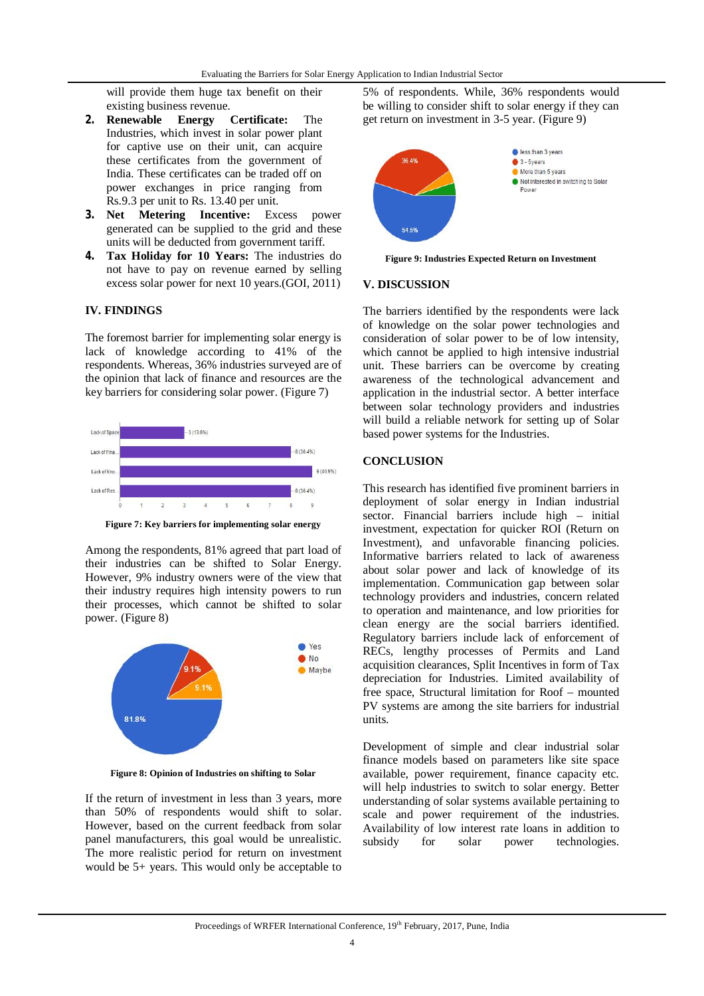will provide them huge tax benefit on their existing business revenue.

- **2. Renewable Energy Certificate:** The Industries, which invest in solar power plant for captive use on their unit, can acquire these certificates from the government of India. These certificates can be traded off on power exchanges in price ranging from Rs.9.3 per unit to Rs. 13.40 per unit.
- **3. Net Metering Incentive:** Excess power generated can be supplied to the grid and these units will be deducted from government tariff.
- **4. Tax Holiday for 10 Years:** The industries do not have to pay on revenue earned by selling excess solar power for next 10 years.(GOI, 2011)

## **IV. FINDINGS**

The foremost barrier for implementing solar energy is lack of knowledge according to 41% of the respondents. Whereas, 36% industries surveyed are of the opinion that lack of finance and resources are the key barriers for considering solar power. (Figure 7)



**Figure 7: Key barriers for implementing solar energy**

Among the respondents, 81% agreed that part load of their industries can be shifted to Solar Energy. However, 9% industry owners were of the view that their industry requires high intensity powers to run their processes, which cannot be shifted to solar power. (Figure 8)



**Figure 8: Opinion of Industries on shifting to Solar**

If the return of investment in less than 3 years, more than 50% of respondents would shift to solar. However, based on the current feedback from solar panel manufacturers, this goal would be unrealistic. The more realistic period for return on investment would be 5+ years. This would only be acceptable to

5% of respondents. While, 36% respondents would be willing to consider shift to solar energy if they can get return on investment in 3-5 year. (Figure 9)



**Figure 9: Industries Expected Return on Investment**

#### **V. DISCUSSION**

The barriers identified by the respondents were lack of knowledge on the solar power technologies and consideration of solar power to be of low intensity, which cannot be applied to high intensive industrial unit. These barriers can be overcome by creating awareness of the technological advancement and application in the industrial sector. A better interface between solar technology providers and industries will build a reliable network for setting up of Solar based power systems for the Industries.

#### **CONCLUSION**

This research has identified five prominent barriers in deployment of solar energy in Indian industrial sector. Financial barriers include high – initial investment, expectation for quicker ROI (Return on Investment), and unfavorable financing policies. Informative barriers related to lack of awareness about solar power and lack of knowledge of its implementation. Communication gap between solar technology providers and industries, concern related to operation and maintenance, and low priorities for clean energy are the social barriers identified. Regulatory barriers include lack of enforcement of RECs, lengthy processes of Permits and Land acquisition clearances, Split Incentives in form of Tax depreciation for Industries. Limited availability of free space, Structural limitation for Roof – mounted PV systems are among the site barriers for industrial units.

Development of simple and clear industrial solar finance models based on parameters like site space available, power requirement, finance capacity etc. will help industries to switch to solar energy. Better understanding of solar systems available pertaining to scale and power requirement of the industries. Availability of low interest rate loans in addition to subsidy for solar power technologies.